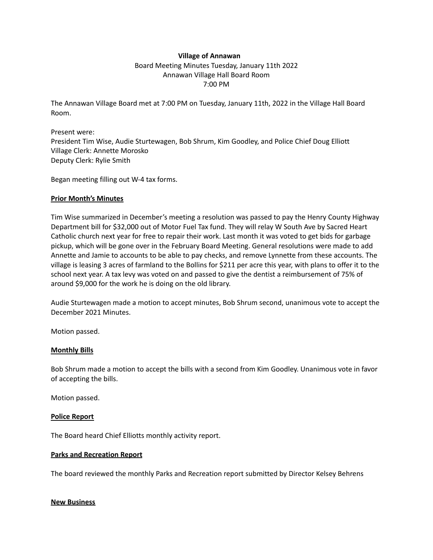## **Village of Annawan** Board Meeting Minutes Tuesday, January 11th 2022 Annawan Village Hall Board Room 7:00 PM

The Annawan Village Board met at 7:00 PM on Tuesday, January 11th, 2022 in the Village Hall Board Room.

#### Present were:

President Tim Wise, Audie Sturtewagen, Bob Shrum, Kim Goodley, and Police Chief Doug Elliott Village Clerk: Annette Morosko Deputy Clerk: Rylie Smith

Began meeting filling out W-4 tax forms.

## **Prior Month's Minutes**

Tim Wise summarized in December's meeting a resolution was passed to pay the Henry County Highway Department bill for \$32,000 out of Motor Fuel Tax fund. They will relay W South Ave by Sacred Heart Catholic church next year for free to repair their work. Last month it was voted to get bids for garbage pickup, which will be gone over in the February Board Meeting. General resolutions were made to add Annette and Jamie to accounts to be able to pay checks, and remove Lynnette from these accounts. The village is leasing 3 acres of farmland to the Bollins for \$211 per acre this year, with plans to offer it to the school next year. A tax levy was voted on and passed to give the dentist a reimbursement of 75% of around \$9,000 for the work he is doing on the old library.

Audie Sturtewagen made a motion to accept minutes, Bob Shrum second, unanimous vote to accept the December 2021 Minutes.

Motion passed.

# **Monthly Bills**

Bob Shrum made a motion to accept the bills with a second from Kim Goodley. Unanimous vote in favor of accepting the bills.

Motion passed.

#### **Police Report**

The Board heard Chief Elliotts monthly activity report.

#### **Parks and Recreation Report**

The board reviewed the monthly Parks and Recreation report submitted by Director Kelsey Behrens

#### **New Business**